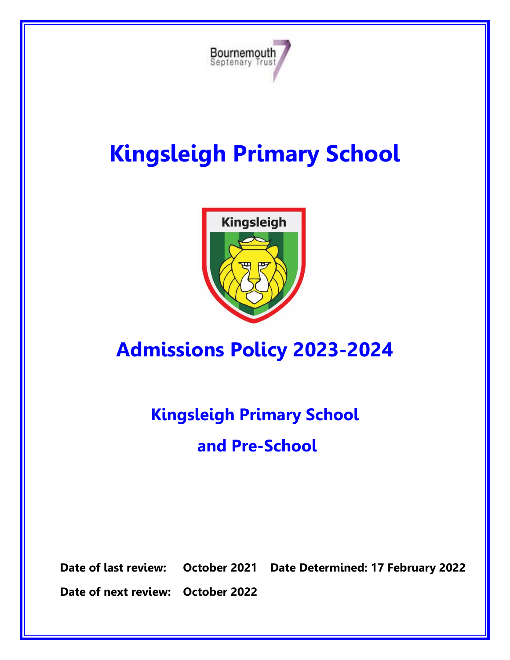

# **Kingsleigh Primary School**



# **Admissions Policy 2023-2024**

# **Kingsleigh Primary School and Pre-School**

**Date of last review: October 2021 Date Determined: 17 February 2022**

**Date of next review: October 2022**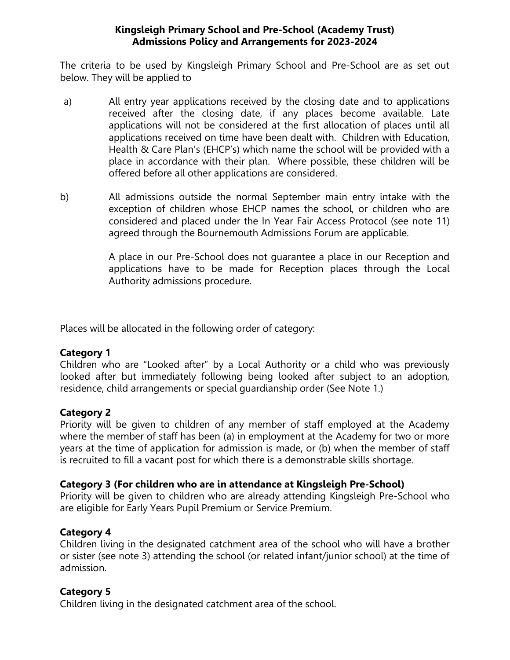#### **Kingsleigh Primary School and Pre-School (Academy Trust) Admissions Policy and Arrangements for 2023-2024**

The criteria to be used by Kingsleigh Primary School and Pre-School are as set out below. They will be applied to

- a) All entry year applications received by the closing date and to applications received after the closing date, if any places become available. Late applications will not be considered at the first allocation of places until all applications received on time have been dealt with. Children with Education, Health & Care Plan's (EHCP's) which name the school will be provided with a place in accordance with their plan. Where possible, these children will be offered before all other applications are considered.
- b) All admissions outside the normal September main entry intake with the exception of children whose EHCP names the school, or children who are considered and placed under the In Year Fair Access Protocol (see note 11) agreed through the Bournemouth Admissions Forum are applicable.

A place in our Pre-School does not guarantee a place in our Reception and applications have to be made for Reception places through the Local Authority admissions procedure.

Places will be allocated in the following order of category:

### **Category 1**

Children who are "Looked after" by a Local Authority or a child who was previously looked after but immediately following being looked after subject to an adoption, residence, child arrangements or special guardianship order (See Note 1.)

# **Category 2**

Priority will be given to children of any member of staff employed at the Academy where the member of staff has been (a) in employment at the Academy for two or more years at the time of application for admission is made, or (b) when the member of staff is recruited to fill a vacant post for which there is a demonstrable skills shortage.

### **Category 3 (For children who are in attendance at Kingsleigh Pre-School)**

Priority will be given to children who are already attending Kingsleigh Pre-School who are eligible for Early Years Pupil Premium or Service Premium.

### **Category 4**

Children living in the designated catchment area of the school who will have a brother or sister (see note 3) attending the school (or related infant/junior school) at the time of admission.

# **Category 5**

Children living in the designated catchment area of the school.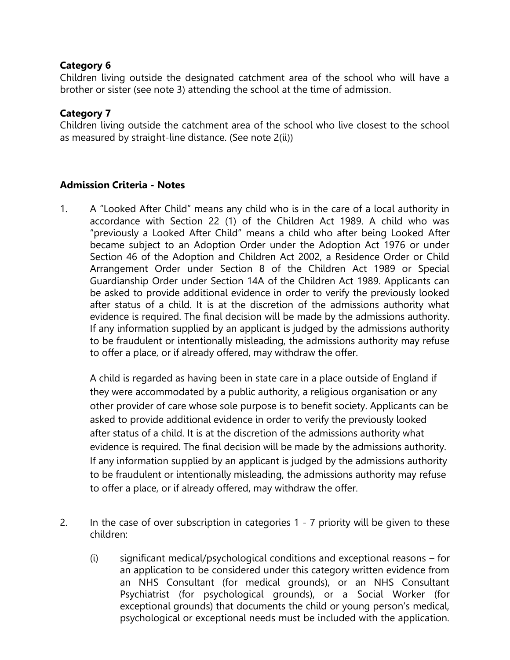### **Category 6**

Children living outside the designated catchment area of the school who will have a brother or sister (see note 3) attending the school at the time of admission.

## **Category 7**

Children living outside the catchment area of the school who live closest to the school as measured by straight-line distance. (See note 2(ii))

# **Admission Criteria - Notes**

1. A "Looked After Child" means any child who is in the care of a local authority in accordance with Section 22 (1) of the Children Act 1989. A child who was "previously a Looked After Child" means a child who after being Looked After became subject to an Adoption Order under the Adoption Act 1976 or under Section 46 of the Adoption and Children Act 2002, a Residence Order or Child Arrangement Order under Section 8 of the Children Act 1989 or Special Guardianship Order under Section 14A of the Children Act 1989. Applicants can be asked to provide additional evidence in order to verify the previously looked after status of a child. It is at the discretion of the admissions authority what evidence is required. The final decision will be made by the admissions authority. If any information supplied by an applicant is judged by the admissions authority to be fraudulent or intentionally misleading, the admissions authority may refuse to offer a place, or if already offered, may withdraw the offer.

A child is regarded as having been in state care in a place outside of England if they were accommodated by a public authority, a religious organisation or any other provider of care whose sole purpose is to benefit society. Applicants can be asked to provide additional evidence in order to verify the previously looked after status of a child. It is at the discretion of the admissions authority what evidence is required. The final decision will be made by the admissions authority. If any information supplied by an applicant is judged by the admissions authority to be fraudulent or intentionally misleading, the admissions authority may refuse to offer a place, or if already offered, may withdraw the offer.

- 2. In the case of over subscription in categories 1 7 priority will be given to these children:
	- (i) significant medical/psychological conditions and exceptional reasons for an application to be considered under this category written evidence from an NHS Consultant (for medical grounds), or an NHS Consultant Psychiatrist (for psychological grounds), or a Social Worker (for exceptional grounds) that documents the child or young person's medical, psychological or exceptional needs must be included with the application.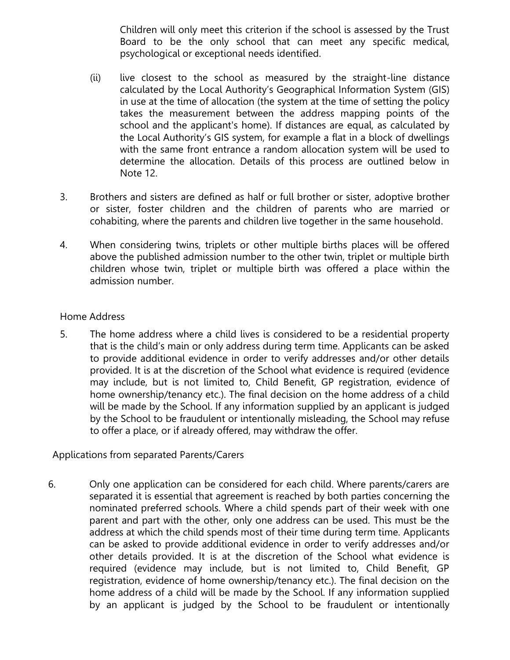Children will only meet this criterion if the school is assessed by the Trust Board to be the only school that can meet any specific medical, psychological or exceptional needs identified.

- (ii) live closest to the school as measured by the straight-line distance calculated by the Local Authority's Geographical Information System (GIS) in use at the time of allocation (the system at the time of setting the policy takes the measurement between the address mapping points of the school and the applicant's home). If distances are equal, as calculated by the Local Authority's GIS system, for example a flat in a block of dwellings with the same front entrance a random allocation system will be used to determine the allocation. Details of this process are outlined below in Note 12.
- 3. Brothers and sisters are defined as half or full brother or sister, adoptive brother or sister, foster children and the children of parents who are married or cohabiting, where the parents and children live together in the same household.
- 4. When considering twins, triplets or other multiple births places will be offered above the published admission number to the other twin, triplet or multiple birth children whose twin, triplet or multiple birth was offered a place within the admission number.

#### Home Address

5. The home address where a child lives is considered to be a residential property that is the child's main or only address during term time. Applicants can be asked to provide additional evidence in order to verify addresses and/or other details provided. It is at the discretion of the School what evidence is required (evidence may include, but is not limited to, Child Benefit, GP registration, evidence of home ownership/tenancy etc.). The final decision on the home address of a child will be made by the School. If any information supplied by an applicant is judged by the School to be fraudulent or intentionally misleading, the School may refuse to offer a place, or if already offered, may withdraw the offer.

### Applications from separated Parents/Carers

6. Only one application can be considered for each child. Where parents/carers are separated it is essential that agreement is reached by both parties concerning the nominated preferred schools. Where a child spends part of their week with one parent and part with the other, only one address can be used. This must be the address at which the child spends most of their time during term time. Applicants can be asked to provide additional evidence in order to verify addresses and/or other details provided. It is at the discretion of the School what evidence is required (evidence may include, but is not limited to, Child Benefit, GP registration, evidence of home ownership/tenancy etc.). The final decision on the home address of a child will be made by the School. If any information supplied by an applicant is judged by the School to be fraudulent or intentionally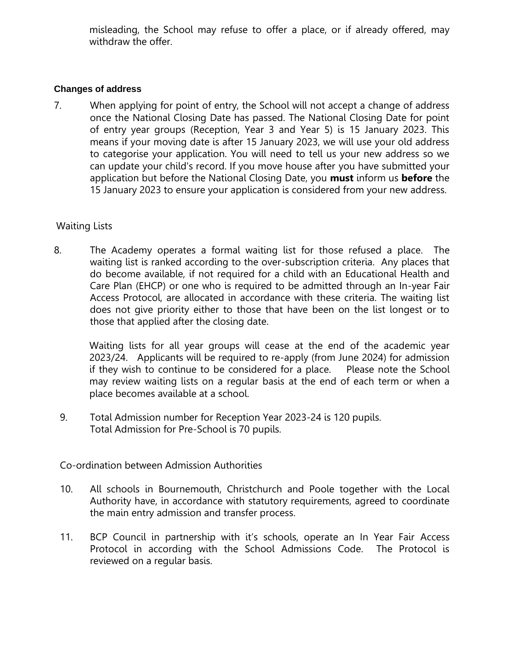misleading, the School may refuse to offer a place, or if already offered, may withdraw the offer.

#### **Changes of address**

7. When applying for point of entry, the School will not accept a change of address once the National Closing Date has passed. The National Closing Date for point of entry year groups (Reception, Year 3 and Year 5) is 15 January 2023. This means if your moving date is after 15 January 2023, we will use your old address to categorise your application. You will need to tell us your new address so we can update your child's record. If you move house after you have submitted your application but before the National Closing Date, you **must** inform us **before** the 15 January 2023 to ensure your application is considered from your new address.

#### Waiting Lists

8. The Academy operates a formal waiting list for those refused a place. The waiting list is ranked according to the over-subscription criteria. Any places that do become available, if not required for a child with an Educational Health and Care Plan (EHCP) or one who is required to be admitted through an In-year Fair Access Protocol, are allocated in accordance with these criteria. The waiting list does not give priority either to those that have been on the list longest or to those that applied after the closing date.

Waiting lists for all year groups will cease at the end of the academic year 2023/24. Applicants will be required to re-apply (from June 2024) for admission if they wish to continue to be considered for a place. Please note the School may review waiting lists on a regular basis at the end of each term or when a place becomes available at a school.

9. Total Admission number for Reception Year 2023-24 is 120 pupils. Total Admission for Pre-School is 70 pupils.

### Co-ordination between Admission Authorities

- 10. All schools in Bournemouth, Christchurch and Poole together with the Local Authority have, in accordance with statutory requirements, agreed to coordinate the main entry admission and transfer process.
- 11. BCP Council in partnership with it's schools, operate an In Year Fair Access Protocol in according with the School Admissions Code. The Protocol is reviewed on a regular basis.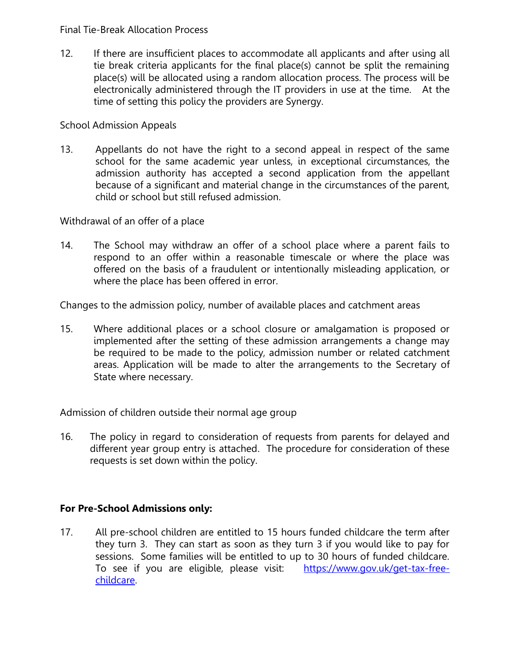#### Final Tie-Break Allocation Process

12. If there are insufficient places to accommodate all applicants and after using all tie break criteria applicants for the final place(s) cannot be split the remaining place(s) will be allocated using a random allocation process. The process will be electronically administered through the IT providers in use at the time. At the time of setting this policy the providers are Synergy.

#### School Admission Appeals

13. Appellants do not have the right to a second appeal in respect of the same school for the same academic year unless, in exceptional circumstances, the admission authority has accepted a second application from the appellant because of a significant and material change in the circumstances of the parent, child or school but still refused admission.

Withdrawal of an offer of a place

14. The School may withdraw an offer of a school place where a parent fails to respond to an offer within a reasonable timescale or where the place was offered on the basis of a fraudulent or intentionally misleading application, or where the place has been offered in error.

Changes to the admission policy, number of available places and catchment areas

15. Where additional places or a school closure or amalgamation is proposed or implemented after the setting of these admission arrangements a change may be required to be made to the policy, admission number or related catchment areas. Application will be made to alter the arrangements to the Secretary of State where necessary.

Admission of children outside their normal age group

16. The policy in regard to consideration of requests from parents for delayed and different year group entry is attached. The procedure for consideration of these requests is set down within the policy.

### **For Pre-School Admissions only:**

17. All pre-school children are entitled to 15 hours funded childcare the term after they turn 3. They can start as soon as they turn 3 if you would like to pay for sessions. Some families will be entitled to up to 30 hours of funded childcare. To see if you are eligible, please visit: [https://www.gov.uk/get-tax-free](https://www.gov.uk/get-tax-free-childcare)[childcare.](https://www.gov.uk/get-tax-free-childcare)